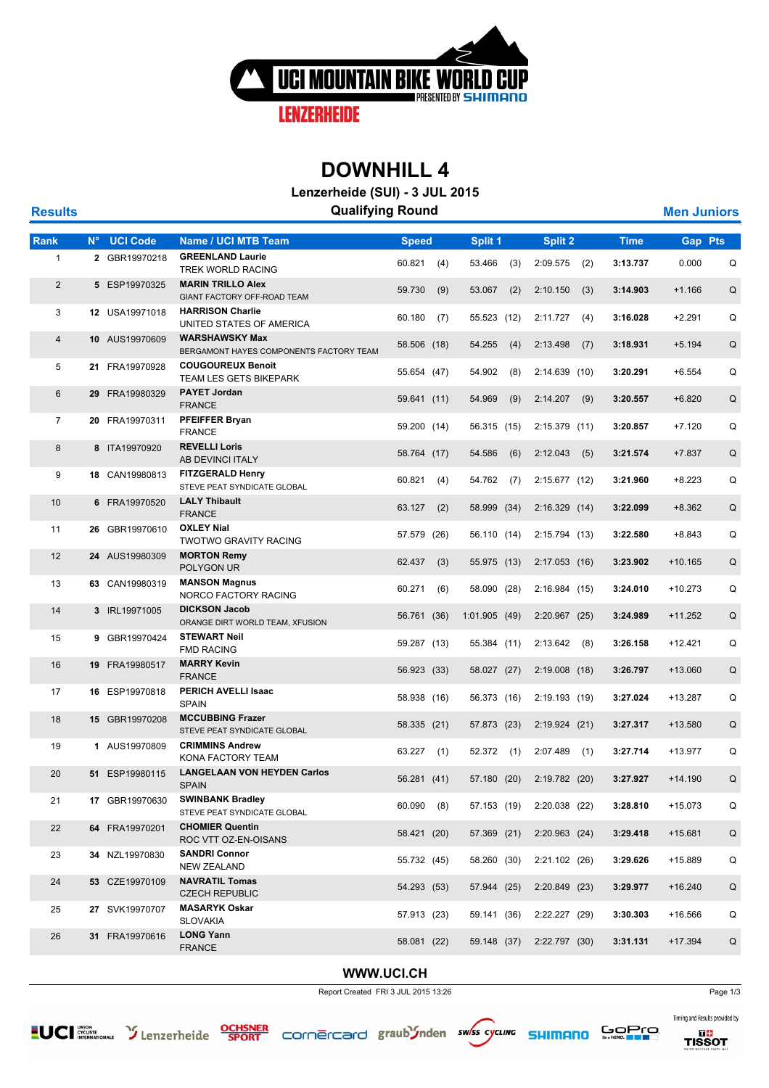

## **DOWNHILL 4**

**Lenzerheide (SUI) - 3 JUL 2015**

| <b>Results</b> |             |                 | <b>Qualifying Round</b>                                          |              |     |              |     |                           |     |             |                | <b>Men Juniors</b> |  |
|----------------|-------------|-----------------|------------------------------------------------------------------|--------------|-----|--------------|-----|---------------------------|-----|-------------|----------------|--------------------|--|
| Rank           | $N^{\circ}$ | <b>UCI Code</b> | <b>Name / UCI MTB Team</b>                                       | <b>Speed</b> |     | Split 1      |     | Split 2                   |     | <b>Time</b> | <b>Gap Pts</b> |                    |  |
| 1              |             | 2 GBR19970218   | <b>GREENLAND Laurie</b><br>TREK WORLD RACING                     | 60.821       | (4) | 53.466       | (3) | 2:09.575                  | (2) | 3:13.737    | 0.000          | Q                  |  |
| $\overline{2}$ |             | 5 ESP19970325   | <b>MARIN TRILLO Alex</b><br>GIANT FACTORY OFF-ROAD TEAM          | 59.730       | (9) | 53.067       | (2) | 2:10.150                  | (3) | 3:14.903    | $+1.166$       | Q                  |  |
| 3              |             | 12 USA19971018  | <b>HARRISON Charlie</b><br>UNITED STATES OF AMERICA              | 60.180       | (7) | 55.523 (12)  |     | 2:11.727                  | (4) | 3:16.028    | $+2.291$       | Q                  |  |
| $\overline{4}$ |             | 10 AUS19970609  | <b>WARSHAWSKY Max</b><br>BERGAMONT HAYES COMPONENTS FACTORY TEAM | 58.506 (18)  |     | 54.255       | (4) | 2:13.498                  | (7) | 3:18.931    | $+5.194$       | Q                  |  |
| 5              |             | 21 FRA19970928  | <b>COUGOUREUX Benoit</b><br>TEAM LES GETS BIKEPARK               | 55.654 (47)  |     | 54.902       | (8) | 2:14.639(10)              |     | 3:20.291    | $+6.554$       | Q                  |  |
| 6              |             | 29 FRA19980329  | <b>PAYET Jordan</b><br><b>FRANCE</b>                             | 59.641 (11)  |     | 54.969       | (9) | 2:14.207                  | (9) | 3:20.557    | $+6.820$       | Q                  |  |
| $\overline{7}$ |             | 20 FRA19970311  | <b>PFEIFFER Bryan</b><br><b>FRANCE</b>                           | 59.200 (14)  |     | 56.315 (15)  |     | 2:15.379 (11)             |     | 3:20.857    | $+7.120$       | Q                  |  |
| 8              |             | 8 ITA19970920   | <b>REVELLI Loris</b><br>AB DEVINCI ITALY                         | 58.764 (17)  |     | 54.586       | (6) | 2:12.043                  | (5) | 3:21.574    | $+7.837$       | Q                  |  |
| 9              |             | 18 CAN19980813  | <b>FITZGERALD Henry</b><br>STEVE PEAT SYNDICATE GLOBAL           | 60.821       | (4) | 54.762       | (7) | 2:15.677(12)              |     | 3:21.960    | $+8.223$       | Q                  |  |
| 10             |             | 6 FRA19970520   | <b>LALY Thibault</b><br><b>FRANCE</b>                            | 63.127       | (2) | 58.999 (34)  |     | 2:16.329(14)              |     | 3:22.099    | $+8.362$       | Q                  |  |
| 11             |             | 26 GBR19970610  | <b>OXLEY Nial</b><br><b>TWOTWO GRAVITY RACING</b>                | 57.579 (26)  |     | 56.110 (14)  |     | 2:15.794 (13)             |     | 3:22.580    | $+8.843$       | Q                  |  |
| 12             |             | 24 AUS19980309  | <b>MORTON Remy</b><br>POLYGON UR                                 | 62.437       | (3) | 55.975 (13)  |     | 2:17.053(16)              |     | 3:23.902    | $+10.165$      | Q                  |  |
| 13             |             | 63 CAN19980319  | <b>MANSON Magnus</b><br>NORCO FACTORY RACING                     | 60.271       | (6) | 58.090 (28)  |     | 2:16.984(15)              |     | 3:24.010    | $+10.273$      | Q                  |  |
| 14             |             | 3 IRL19971005   | <b>DICKSON Jacob</b><br>ORANGE DIRT WORLD TEAM, XFUSION          | 56.761 (36)  |     | 1:01.905(49) |     | 2:20.967(25)              |     | 3:24.989    | $+11.252$      | Q                  |  |
| 15             |             | 9 GBR19970424   | <b>STEWART Neil</b><br><b>FMD RACING</b>                         | 59.287 (13)  |     | 55.384 (11)  |     | 2:13.642                  | (8) | 3:26.158    | +12.421        | Q                  |  |
| 16             |             | 19 FRA19980517  | <b>MARRY Kevin</b><br><b>FRANCE</b>                              | 56.923 (33)  |     | 58.027 (27)  |     | 2:19.008(18)              |     | 3:26.797    | +13.060        | Q                  |  |
| 17             |             | 16 ESP19970818  | <b>PERICH AVELLI Isaac</b><br><b>SPAIN</b>                       | 58.938 (16)  |     | 56.373 (16)  |     | 2:19.193 (19)             |     | 3:27.024    | +13.287        | Q                  |  |
| 18             |             | 15 GBR19970208  | <b>MCCUBBING Frazer</b><br>STEVE PEAT SYNDICATE GLOBAL           | 58.335 (21)  |     | 57.873 (23)  |     | 2:19.924(21)              |     | 3:27.317    | +13.580        | Q                  |  |
| 19             |             | 1 AUS19970809   | <b>CRIMMINS Andrew</b><br>KONA FACTORY TEAM                      | 63.227       | (1) | 52.372       | (1) | 2:07.489                  | (1) | 3:27.714    | +13.977        | Q                  |  |
| 20             |             | 51 ESP19980115  | <b>LANGELAAN VON HEYDEN Carlos</b><br><b>SPAIN</b>               | 56.281 (41)  |     | 57.180 (20)  |     | 2:19.782 (20)             |     | 3:27.927    | $+14.190$      | Q                  |  |
| 21             |             | 17 GBR19970630  | <b>SWINBANK Bradley</b><br>STEVE PEAT SYNDICATE GLOBAL           | 60.090       | (8) | 57.153 (19)  |     | 2:20.038 (22)             |     | 3:28.810    | $+15.073$      | Q                  |  |
| 22             |             | 64 FRA19970201  | <b>CHOMIER Quentin</b><br>ROC VTT OZ-EN-OISANS                   | 58.421 (20)  |     | 57.369 (21)  |     | 2:20.963(24)              |     | 3:29.418    | +15.681        | Q                  |  |
| 23             |             | 34 NZL19970830  | <b>SANDRI Connor</b><br><b>NEW ZEALAND</b>                       | 55.732 (45)  |     | 58.260 (30)  |     | 2:21.102(26)              |     | 3:29.626    | +15.889        | Q                  |  |
| 24             |             | 53 CZE19970109  | <b>NAVRATIL Tomas</b><br><b>CZECH REPUBLIC</b>                   | 54.293 (53)  |     | 57.944 (25)  |     | $2:20.849$ (23)           |     | 3:29.977    | $+16.240$      | Q                  |  |
| 25             |             | 27 SVK19970707  | <b>MASARYK Oskar</b><br><b>SLOVAKIA</b>                          | 57.913 (23)  |     | 59.141 (36)  |     | 2:22.227 (29)             |     | 3:30.303    | +16.566        | Q                  |  |
| 26             |             | 31 FRA19970616  | <b>LONG Yann</b><br><b>FRANCE</b>                                | 58.081 (22)  |     |              |     | 59.148 (37) 2:22.797 (30) |     | 3:31.131    | $+17.394$      | Q                  |  |
|                |             |                 |                                                                  |              |     |              |     |                           |     |             |                |                    |  |

#### **WWW.UCI.CH**

Report Created FRI 3 JUL 2015 13:26 Page 1/3













Timing and Results provided by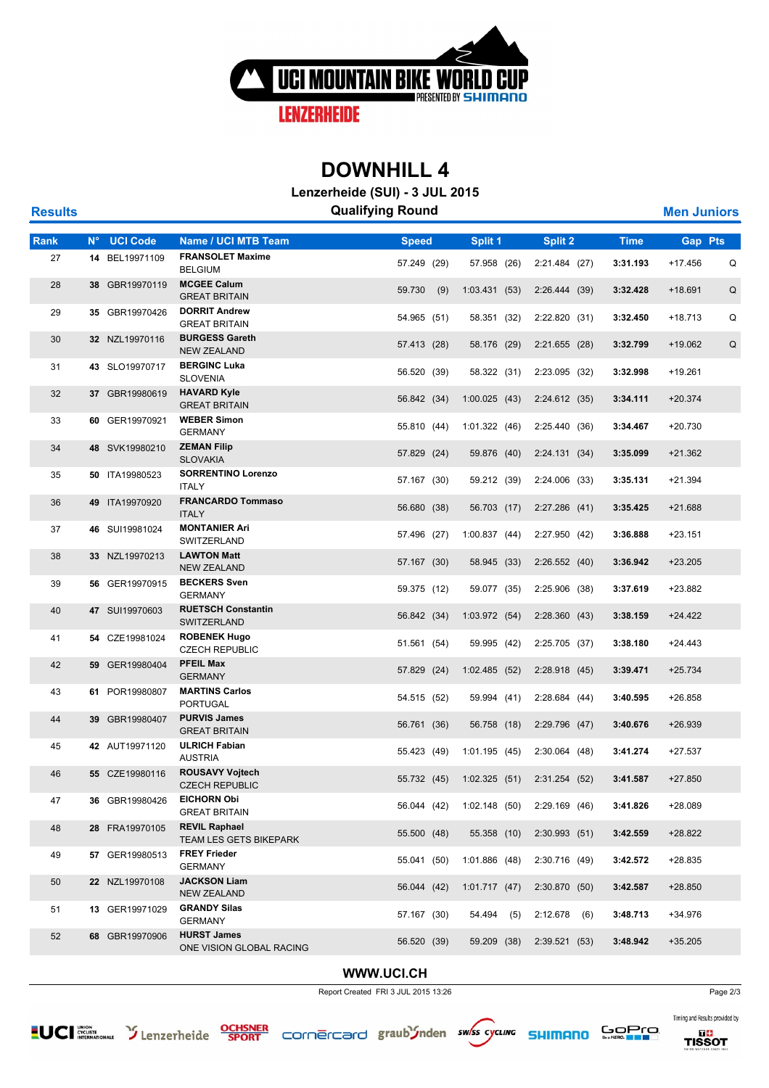

## **DOWNHILL 4**

**Lenzerheide (SUI) - 3 JUL 2015**

| <b>Results</b> |             |                 |                                                       | <b>Qualifying Round</b> |     |                                         |                |             | <b>Men Juniors</b> |   |
|----------------|-------------|-----------------|-------------------------------------------------------|-------------------------|-----|-----------------------------------------|----------------|-------------|--------------------|---|
| <b>Rank</b>    | $N^{\circ}$ | <b>UCI Code</b> | <b>Name / UCI MTB Team</b>                            | <b>Speed</b>            |     | Split 1                                 | Split 2        | <b>Time</b> | <b>Gap Pts</b>     |   |
| 27             |             | 14 BEL19971109  | <b>FRANSOLET Maxime</b><br><b>BELGIUM</b>             | 57.249 (29)             |     | 57.958 (26)                             | 2:21.484 (27)  | 3:31.193    | $+17.456$          | Q |
| 28             |             | 38 GBR19970119  | <b>MCGEE Calum</b><br><b>GREAT BRITAIN</b>            | 59.730                  | (9) | 1:03.431(53)                            | 2:26.444(39)   | 3:32.428    | $+18.691$          | Q |
| 29             |             | 35 GBR19970426  | <b>DORRIT Andrew</b><br><b>GREAT BRITAIN</b>          | 54.965 (51)             |     | 58.351 (32)                             | 2:22.820 (31)  | 3:32.450    | +18.713            | Q |
| 30             |             | 32 NZL19970116  | <b>BURGESS Gareth</b><br><b>NEW ZEALAND</b>           | 57.413 (28)             |     | 58.176 (29)                             | 2:21.655(28)   | 3:32.799    | +19.062            | Q |
| 31             |             | 43 SLO19970717  | <b>BERGINC Luka</b><br><b>SLOVENIA</b>                | 56.520 (39)             |     | 58.322 (31)                             | 2:23.095 (32)  | 3:32.998    | +19.261            |   |
| 32             |             | 37 GBR19980619  | <b>HAVARD Kyle</b><br><b>GREAT BRITAIN</b>            | 56.842 (34)             |     | 1:00.025(43)                            | 2:24.612(35)   | 3:34.111    | $+20.374$          |   |
| 33             |             | 60 GER19970921  | <b>WEBER Simon</b><br><b>GERMANY</b>                  | 55.810 (44)             |     | 1:01.322(46)                            | 2:25.440 (36)  | 3:34.467    | $+20.730$          |   |
| 34             |             | 48 SVK19980210  | <b>ZEMAN Filip</b><br><b>SLOVAKIA</b>                 | 57.829 (24)             |     | 59.876 (40)                             | 2:24.131(34)   | 3:35.099    | $+21.362$          |   |
| 35             |             | 50 ITA19980523  | <b>SORRENTINO Lorenzo</b><br><b>ITALY</b>             | 57.167 (30)             |     | 59.212 (39)                             | 2:24.006 (33)  | 3:35.131    | +21.394            |   |
| 36             |             | 49 ITA19970920  | <b>FRANCARDO Tommaso</b><br><b>ITALY</b>              | 56.680 (38)             |     | 56.703 (17)                             | 2:27.286(41)   | 3:35.425    | $+21.688$          |   |
| 37             |             | 46 SUI19981024  | <b>MONTANIER Ari</b><br>SWITZERLAND                   | 57.496 (27)             |     | 1:00.837(44)                            | 2:27.950 (42)  | 3:36.888    | $+23.151$          |   |
| 38             |             | 33 NZL19970213  | <b>LAWTON Matt</b><br><b>NEW ZEALAND</b>              | 57.167 (30)             |     | 58.945 (33)                             | 2:26.552(40)   | 3:36.942    | $+23.205$          |   |
| 39             |             | 56 GER19970915  | <b>BECKERS Sven</b><br><b>GERMANY</b>                 | 59.375 (12)             |     | 59.077 (35)                             | 2:25.906 (38)  | 3:37.619    | +23.882            |   |
| 40             |             | 47 SUI19970603  | <b>RUETSCH Constantin</b><br>SWITZERLAND              | 56.842 (34)             |     | 1:03.972 (54)                           | 2:28.360(43)   | 3:38.159    | $+24.422$          |   |
| 41             |             | 54 CZE19981024  | <b>ROBENEK Hugo</b><br><b>CZECH REPUBLIC</b>          | 51.561 (54)             |     | 59.995 (42)                             | 2:25.705 (37)  | 3:38.180    | $+24.443$          |   |
| 42             |             | 59 GER19980404  | <b>PFEIL Max</b><br><b>GERMANY</b>                    | 57.829 (24)             |     | 1:02.485(52)                            | 2:28.918(45)   | 3:39.471    | $+25.734$          |   |
| 43             |             | 61 POR19980807  | <b>MARTINS Carlos</b><br><b>PORTUGAL</b>              | 54.515 (52)             |     | 59.994 (41)                             | 2:28.684(44)   | 3:40.595    | +26.858            |   |
| 44             |             | 39 GBR19980407  | <b>PURVIS James</b><br><b>GREAT BRITAIN</b>           | 56.761 (36)             |     | 56.758 (18)                             | 2:29.796(47)   | 3:40.676    | $+26.939$          |   |
| 45             |             | 42 AUT19971120  | <b>ULRICH Fabian</b><br><b>AUSTRIA</b>                | 55.423 (49)             |     | 1:01.195(45)                            | 2:30.064(48)   | 3:41.274    | $+27.537$          |   |
| 46             |             | 55 CZE19980116  | <b>ROUSAVY Vojtech</b><br><b>CZECH REPUBLIC</b>       |                         |     | 55.732 (45) 1:02.325 (51) 2:31.254 (52) |                | 3:41.587    | $+27.850$          |   |
| 47             |             | 36 GBR19980426  | <b>EICHORN Obi</b><br><b>GREAT BRITAIN</b>            | 56.044 (42)             |     | 1:02.148(50)                            | 2:29.169(46)   | 3:41.826    | +28.089            |   |
| 48             |             | 28 FRA19970105  | <b>REVIL Raphael</b><br><b>TEAM LES GETS BIKEPARK</b> | 55.500 (48)             |     | 55.358 (10)                             | 2:30.993(51)   | 3:42.559    | +28.822            |   |
| 49             |             | 57 GER19980513  | <b>FREY Frieder</b><br><b>GERMANY</b>                 | 55.041 (50)             |     | 1:01.886(48)                            | 2:30.716 (49)  | 3:42.572    | $+28.835$          |   |
| 50             |             | 22 NZL19970108  | <b>JACKSON Liam</b><br><b>NEW ZEALAND</b>             | 56.044 (42)             |     | 1:01.717(47)                            | 2:30.870(50)   | 3:42.587    | $+28.850$          |   |
| 51             |             | 13 GER19971029  | <b>GRANDY Silas</b><br><b>GERMANY</b>                 | 57.167 (30)             |     | 54.494 (5)                              | $2:12.678$ (6) | 3:48.713    | +34.976            |   |
| 52             |             | 68 GBR19970906  | <b>HURST James</b><br>ONE VISION GLOBAL RACING        | 56.520 (39)             |     | 59.209 (38)                             | 2:39.521(53)   | 3:48.942    | $+35.205$          |   |

#### **WWW.UCI.CH**

Report Created FRI 3 JUL 2015 13:26 Page 2/3